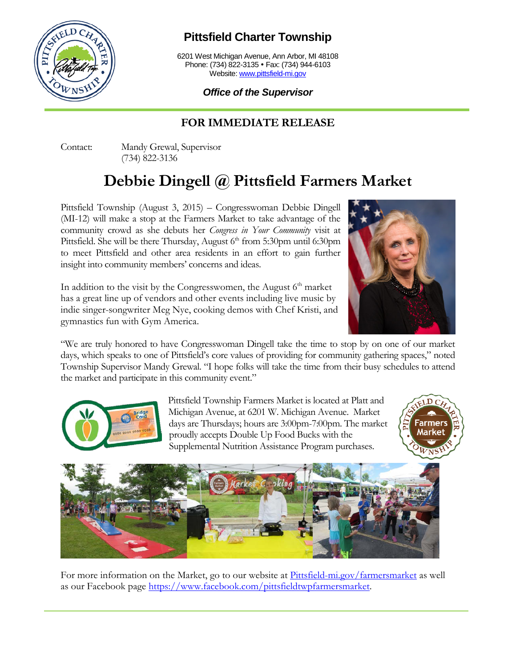

## **Pittsfield Charter Township**

6201 West Michigan Avenue, Ann Arbor, MI 48108 Phone: (734) 822-3135 • Fax: (734) 944-6103 Website: [www.pittsfield-mi.gov](http://www.pittsfield-mi.gov/)

## *Office of the Supervisor*

## **FOR IMMEDIATE RELEASE**

Contact: Mandy Grewal, Supervisor (734) 822-3136

## **Debbie Dingell @ Pittsfield Farmers Market**

Pittsfield Township (August 3, 2015) – Congresswoman Debbie Dingell (MI-12) will make a stop at the Farmers Market to take advantage of the community crowd as she debuts her *Congress in Your Community* visit at Pittsfield. She will be there Thursday, August 6<sup>th</sup> from 5:30pm until 6:30pm to meet Pittsfield and other area residents in an effort to gain further insight into community members' concerns and ideas.

In addition to the visit by the Congresswomen, the August  $6<sup>th</sup>$  market has a great line up of vendors and other events including live music by indie singer-songwriter Meg Nye, cooking demos with Chef Kristi, and gymnastics fun with Gym America.



"We are truly honored to have Congresswoman Dingell take the time to stop by on one of our market days, which speaks to one of Pittsfield's core values of providing for community gathering spaces," noted Township Supervisor Mandy Grewal. "I hope folks will take the time from their busy schedules to attend the market and participate in this community event."



Pittsfield Township Farmers Market is located at Platt and Michigan Avenue, at 6201 W. Michigan Avenue. Market days are Thursdays; hours are 3:00pm-7:00pm. The market proudly accepts Double Up Food Bucks with the Supplemental Nutrition Assistance Program purchases.





For more information on the Market, go to our website at [Pittsfield-mi.gov/farmersmarket](http://www.pittsfield-mi.gov/Index.aspx?NID=760) as well as our Facebook page [https://www.facebook.com/pittsfieldtwpfarmersmarket.](https://www.facebook.com/pittsfieldtwpfarmersmarket)